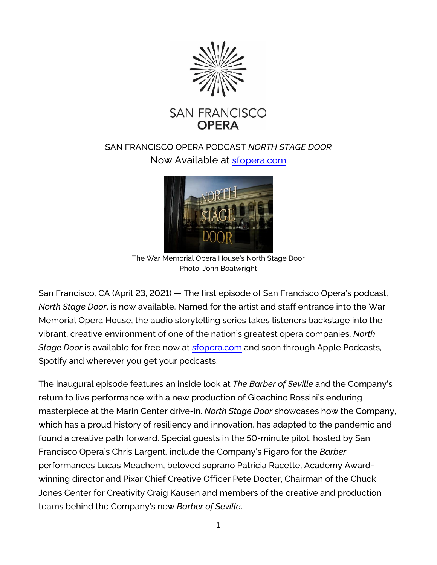

# SAN FRANCISCO OPERA PODCAST *NORTH STAGE DOOR* Now Available at [sfopera.com](https://www.sfopera.com/opera-is-on/northstagedoor/)



The War Memorial Opera House's North Stage Door Photo: John Boatwright

San Francisco, CA (April 23, 2021) — The first episode of San Francisco Opera's podcast, *North Stage Door*, is now available. Named for the artist and staff entrance into the War Memorial Opera House, the audio storytelling series takes listeners backstage into the vibrant, creative environment of one of the nation's greatest opera companies. *North Stage Door* is available for free now at [sfopera.com](https://www.sfopera.com/opera-is-on/northstagedoor/) and soon through Apple Podcasts, Spotify and wherever you get your podcasts.

The inaugural episode features an inside look at *The Barber of Seville* and the Company's return to live performance with a new production of Gioachino Rossini's enduring masterpiece at the Marin Center drive-in. *North Stage Door* showcases how the Company, which has a proud history of resiliency and innovation, has adapted to the pandemic and found a creative path forward. Special guests in the 50-minute pilot, hosted by San Francisco Opera's Chris Largent, include the Company's Figaro for the *Barber* performances Lucas Meachem, beloved soprano Patricia Racette, Academy Awardwinning director and Pixar Chief Creative Officer Pete Docter, Chairman of the Chuck Jones Center for Creativity Craig Kausen and members of the creative and production teams behind the Company's new *Barber of Seville*.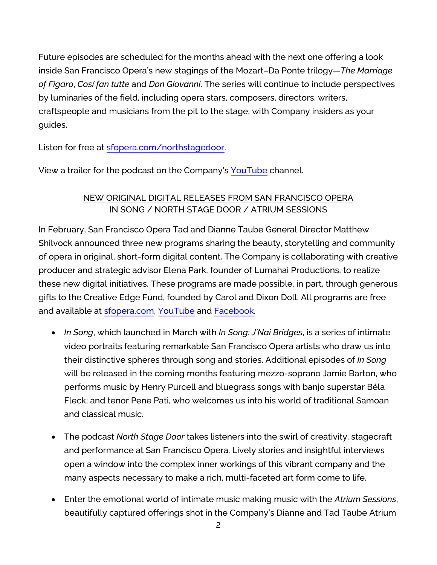Future episodes are scheduled for the months ahead with the next one offering a look inside San Francisco Opera's new stagings of the Mozart–Da Ponte trilogy—*The Marriage of Figaro*, *Così fan tutte* and *Don Giovanni*. The series will continue to include perspectives by luminaries of the field, including opera stars, composers, directors, writers, craftspeople and musicians from the pit to the stage, with Company insiders as your guides.

Listen for free at [sfopera.com/northstagedoor.](https://www.sfopera.com/northstagedoor)

View a trailer for the podcast on the Company's [YouTube](https://www.youtube.com/watch?v=2rbRtuY-p90) channel.

## NEW ORIGINAL DIGITAL RELEASES FROM SAN FRANCISCO OPERA IN SONG / NORTH STAGE DOOR / ATRIUM SESSIONS

In February, San Francisco Opera Tad and Dianne Taube General Director Matthew Shilvock announced three new programs sharing the beauty, storytelling and community of opera in original, short-form digital content. The Company is collaborating with creative producer and strategic advisor Elena Park, founder of Lumahai Productions, to realize these new digital initiatives. These programs are made possible, in part, through generous gifts to the Creative Edge Fund, founded by Carol and Dixon Doll. All programs are free and available at [sfopera.com,](https://www.sfopera.com/) [YouTube](https://www.youtube.com/user/sfoperamedia) and [Facebook.](https://www.facebook.com/SFOpera)

- *In Song*, which launched in March with *In Song: J'Nai Bridges*, is a series of intimate video portraits featuring remarkable San Francisco Opera artists who draw us into their distinctive spheres through song and stories. Additional episodes of *In Song* will be released in the coming months featuring mezzo-soprano Jamie Barton, who performs music by Henry Purcell and bluegrass songs with banjo superstar Béla Fleck; and tenor Pene Pati, who welcomes us into his world of traditional Samoan and classical music.
- The podcast *North Stage Door* takes listeners into the swirl of creativity, stagecraft and performance at San Francisco Opera. Lively stories and insightful interviews open a window into the complex inner workings of this vibrant company and the many aspects necessary to make a rich, multi-faceted art form come to life.
- Enter the emotional world of intimate music making music with the *Atrium Sessions*, beautifully captured offerings shot in the Company's Dianne and Tad Taube Atrium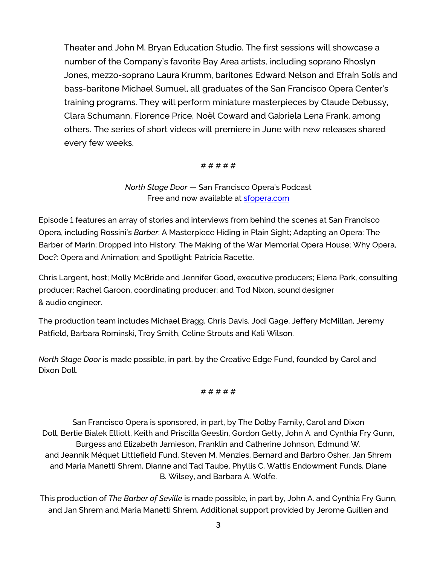Theater and John M. Bryan Education Studio. The first sessions will showcase a number of the Company's favorite Bay Area artists, including soprano Rhoslyn Jones, mezzo-soprano Laura Krumm, baritones Edward Nelson and Efraín Solís and bass-baritone Michael Sumuel, all graduates of the San Francisco Opera Center's training programs. They will perform miniature masterpieces by Claude Debussy, Clara Schumann, Florence Price, Noël Coward and Gabriela Lena Frank, among others. The series of short videos will premiere in June with new releases shared every few weeks.

#### # # # # #

### *North Stage Door* — San Francisco Opera's Podcast Free and now available at [sfopera.com](https://www.sfopera.com/opera-is-on/northstagedoor/)

Episode 1 features an array of stories and interviews from behind the scenes at San Francisco Opera, including Rossini's *Barber*: A Masterpiece Hiding in Plain Sight; Adapting an Opera: The Barber of Marin; Dropped into History: The Making of the War Memorial Opera House; Why Opera, Doc?: Opera and Animation; and Spotlight: Patricia Racette.

Chris Largent, host; Molly McBride and Jennifer Good, executive producers; Elena Park, consulting producer; Rachel Garoon, coordinating producer; and Tod Nixon, sound designer & audio engineer.

The production team includes Michael Bragg, Chris Davis, Jodi Gage, Jeffery McMillan, Jeremy Patfield, Barbara Rominski, Troy Smith, Celine Strouts and Kali Wilson.

*North Stage Door* is made possible, in part, by the Creative Edge Fund, founded by Carol and Dixon Doll.

#### # # # # #

San Francisco Opera is sponsored, in part, by The Dolby Family, Carol and Dixon Doll, Bertie Bialek Elliott, Keith and Priscilla Geeslin, Gordon Getty, John A. and Cynthia Fry Gunn, Burgess and Elizabeth Jamieson, Franklin and Catherine Johnson, Edmund W. and Jeannik Méquet Littlefield Fund, Steven M. Menzies, Bernard and Barbro Osher, Jan Shrem and Maria Manetti Shrem, Dianne and Tad Taube, Phyllis C. Wattis Endowment Funds, Diane B. Wilsey, and Barbara A. Wolfe.

This production of *The Barber of Seville* is made possible, in part by, John A. and Cynthia Fry Gunn, and Jan Shrem and Maria Manetti Shrem. Additional support provided by Jerome Guillen and